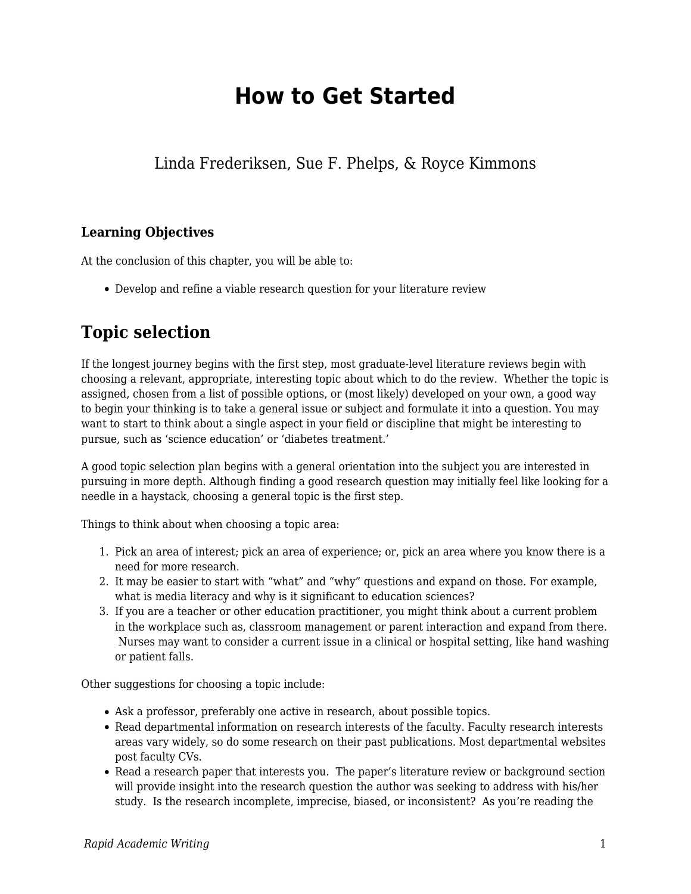# **How to Get Started**

Linda Frederiksen, Sue F. Phelps, & Royce Kimmons

## **Learning Objectives**

At the conclusion of this chapter, you will be able to:

Develop and refine a viable research question for your literature review

## **Topic selection**

If the longest journey begins with the first step, most graduate-level literature reviews begin with choosing a relevant, appropriate, interesting topic about which to do the review. Whether the topic is assigned, chosen from a list of possible options, or (most likely) developed on your own, a good way to begin your thinking is to take a general issue or subject and formulate it into a question. You may want to start to think about a single aspect in your field or discipline that might be interesting to pursue, such as 'science education' or 'diabetes treatment.'

A good topic selection plan begins with a general orientation into the subject you are interested in pursuing in more depth. Although finding a good research question may initially feel like looking for a needle in a haystack, choosing a general topic is the first step.

Things to think about when choosing a topic area:

- 1. Pick an area of interest; pick an area of experience; or, pick an area where you know there is a need for more research.
- 2. It may be easier to start with "what" and "why" questions and expand on those. For example, what is media literacy and why is it significant to education sciences?
- 3. If you are a teacher or other education practitioner, you might think about a current problem in the workplace such as, classroom management or parent interaction and expand from there. Nurses may want to consider a current issue in a clinical or hospital setting, like hand washing or patient falls.

Other suggestions for choosing a topic include:

- Ask a professor, preferably one active in research, about possible topics.
- Read departmental information on research interests of the faculty. Faculty research interests areas vary widely, so do some research on their past publications. Most departmental websites post faculty CVs.
- Read a research paper that interests you. The paper's literature review or background section will provide insight into the research question the author was seeking to address with his/her study. Is the research incomplete, imprecise, biased, or inconsistent? As you're reading the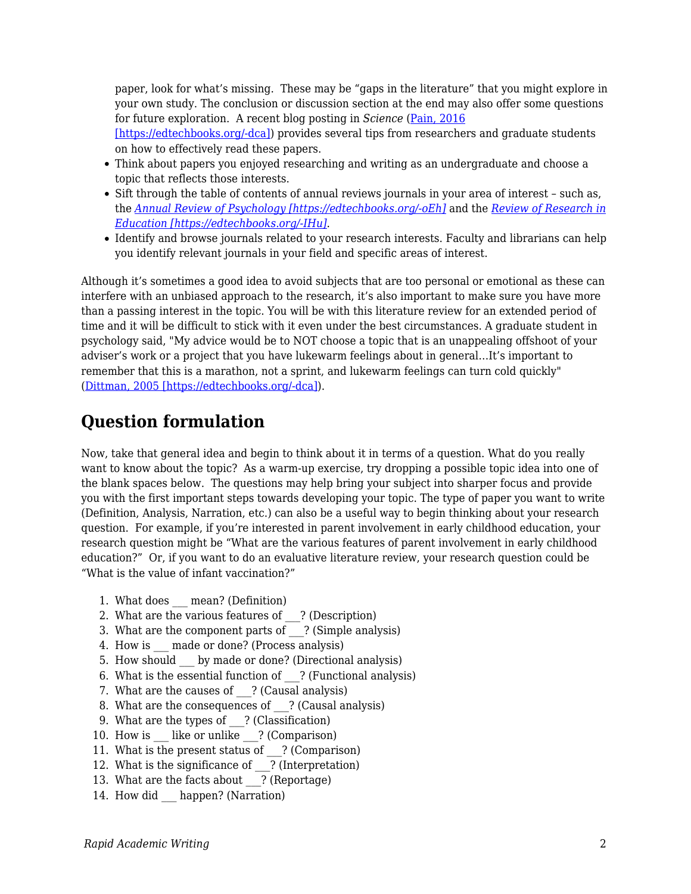paper, look for what's missing. These may be "gaps in the literature" that you might explore in your own study. The conclusion or discussion section at the end may also offer some questions for future exploration. A recent blog posting in *Science* ([Pain, 2016](https://edtechbooks.org/rapidwriting/lit_rev_conclusion/#ref3)

[\[https://edtechbooks.org/-dca\]\)](https://edtechbooks.org/rapidwriting/lit_rev_conclusion/#ref3) provides several tips from researchers and graduate students on how to effectively read these papers.

- Think about papers you enjoyed researching and writing as an undergraduate and choose a topic that reflects those interests.
- Sift through the table of contents of annual reviews journals in your area of interest such as, the *[Annual Review of Psychology \[https://edtechbooks.org/-oEh\]](http://www.annualreviews.org/journal/psych)* and the *[Review of Research in](http://journals.sagepub.com/home/rer) [Education \[https://edtechbooks.org/-IHu\]](http://journals.sagepub.com/home/rer)*.
- Identify and browse journals related to your research interests. Faculty and librarians can help you identify relevant journals in your field and specific areas of interest.

Although it's sometimes a good idea to avoid subjects that are too personal or emotional as these can interfere with an unbiased approach to the research, it's also important to make sure you have more than a passing interest in the topic. You will be with this literature review for an extended period of time and it will be difficult to stick with it even under the best circumstances. A graduate student in psychology said, "My advice would be to NOT choose a topic that is an unappealing offshoot of your adviser's work or a project that you have lukewarm feelings about in general…It's important to remember that this is a marathon, not a sprint, and lukewarm feelings can turn cold quickly" ([Dittman, 2005 \[https://edtechbooks.org/-dca\]\)](https://edtechbooks.org/rapidwriting/lit_rev_conclusion/#ref3).

## **Question formulation**

Now, take that general idea and begin to think about it in terms of a question. What do you really want to know about the topic? As a warm-up exercise, try dropping a possible topic idea into one of the blank spaces below. The questions may help bring your subject into sharper focus and provide you with the first important steps towards developing your topic. The type of paper you want to write (Definition, Analysis, Narration, etc.) can also be a useful way to begin thinking about your research question. For example, if you're interested in parent involvement in early childhood education, your research question might be "What are the various features of parent involvement in early childhood education?" Or, if you want to do an evaluative literature review, your research question could be "What is the value of infant vaccination?"

- 1. What does mean? (Definition)
- 2. What are the various features of ? (Description)
- 3. What are the component parts of ? (Simple analysis)
- 4. How is made or done? (Process analysis)
- 5. How should by made or done? (Directional analysis)
- 6. What is the essential function of  $\therefore$  (Functional analysis)
- 7. What are the causes of ? (Causal analysis)
- 8. What are the consequences of ? (Causal analysis)
- 9. What are the types of ? (Classification)
- 10. How is like or unlike ? (Comparison)
- 11. What is the present status of \_\_\_? (Comparison)
- 12. What is the significance of ? (Interpretation)
- 13. What are the facts about ? (Reportage)
- 14. How did happen? (Narration)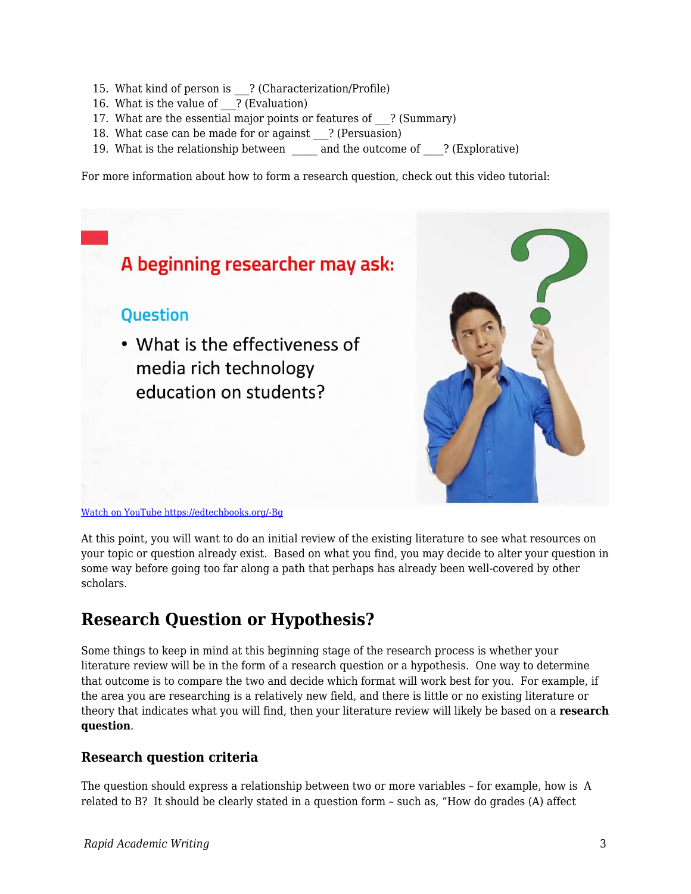- 15. What kind of person is ? (Characterization/Profile)
- 16. What is the value of ? (Evaluation)
- 17. What are the essential major points or features of ? (Summary)
- 18. What case can be made for or against ? (Persuasion)
- 19. What is the relationship between and the outcome of ? (Explorative)

For more information about how to form a research question, check out this video tutorial:



At this point, you will want to do an initial review of the existing literature to see what resources on your topic or question already exist. Based on what you find, you may decide to alter your question in some way before going too far along a path that perhaps has already been well-covered by other scholars.

## **Research Question or Hypothesis?**

Some things to keep in mind at this beginning stage of the research process is whether your literature review will be in the form of a research question or a hypothesis. One way to determine that outcome is to compare the two and decide which format will work best for you. For example, if the area you are researching is a relatively new field, and there is little or no existing literature or theory that indicates what you will find, then your literature review will likely be based on a **research question**.

### **Research question criteria**

The question should express a relationship between two or more variables – for example, how is A related to B? It should be clearly stated in a question form – such as, "How do grades (A) affect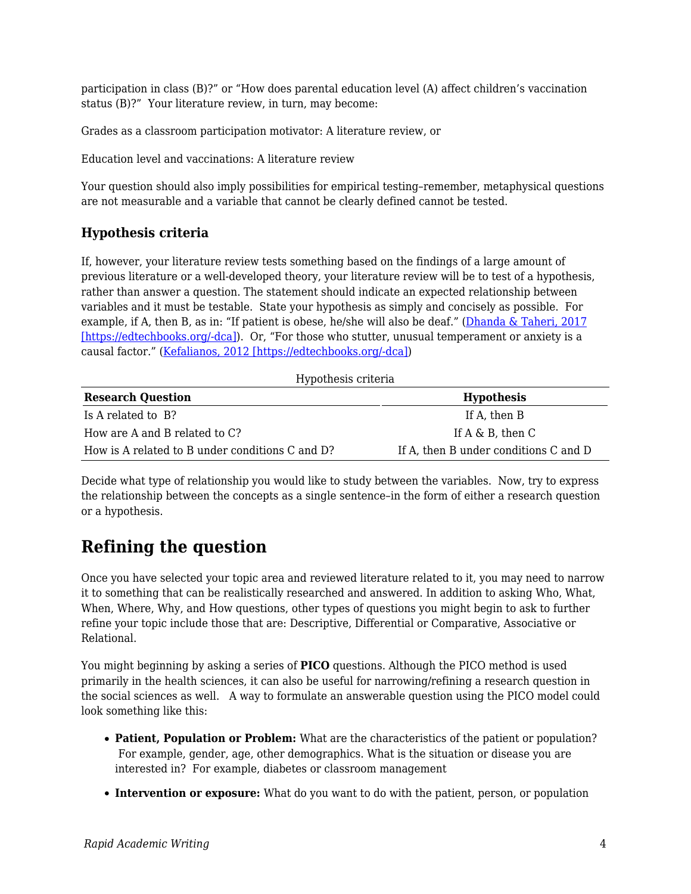participation in class (B)?" or "How does parental education level (A) affect children's vaccination status (B)?" Your literature review, in turn, may become:

Grades as a classroom participation motivator: A literature review, or

Education level and vaccinations: A literature review

Your question should also imply possibilities for empirical testing–remember, metaphysical questions are not measurable and a variable that cannot be clearly defined cannot be tested.

### **Hypothesis criteria**

If, however, your literature review tests something based on the findings of a large amount of previous literature or a well-developed theory, your literature review will be to test of a hypothesis, rather than answer a question. The statement should indicate an expected relationship between variables and it must be testable. State your hypothesis as simply and concisely as possible. For example, if A, then B, as in: "If patient is obese, he/she will also be deaf." [\(Dhanda & Taheri, 2017](https://edtechbooks.org/rapidwriting/lit_rev_conclusion/#ref3) [\[https://edtechbooks.org/-dca\]\)](https://edtechbooks.org/rapidwriting/lit_rev_conclusion/#ref3). Or, "For those who stutter, unusual temperament or anxiety is a causal factor." ([Kefalianos, 2012 \[https://edtechbooks.org/-dca\]\)](https://edtechbooks.org/rapidwriting/lit_rev_conclusion/#ref3)

| Hypothesis criteria                             |                                       |
|-------------------------------------------------|---------------------------------------|
| <b>Research Question</b>                        | <b>Hypothesis</b>                     |
| Is A related to B?                              | If A, then B                          |
| How are A and B related to C?                   | If $A \& B$ , then $C$                |
| How is A related to B under conditions C and D? | If A, then B under conditions C and D |

Decide what type of relationship you would like to study between the variables. Now, try to express the relationship between the concepts as a single sentence–in the form of either a research question or a hypothesis.

## **Refining the question**

Once you have selected your topic area and reviewed literature related to it, you may need to narrow it to something that can be realistically researched and answered. In addition to asking Who, What, When, Where, Why, and How questions, other types of questions you might begin to ask to further refine your topic include those that are: Descriptive, Differential or Comparative, Associative or Relational.

You might beginning by asking a series of **PICO** questions. Although the PICO method is used primarily in the health sciences, it can also be useful for narrowing/refining a research question in the social sciences as well. A way to formulate an answerable question using the PICO model could look something like this:

- **Patient, Population or Problem:** What are the characteristics of the patient or population? For example, gender, age, other demographics. What is the situation or disease you are interested in? For example, diabetes or classroom management
- **Intervention or exposure:** What do you want to do with the patient, person, or population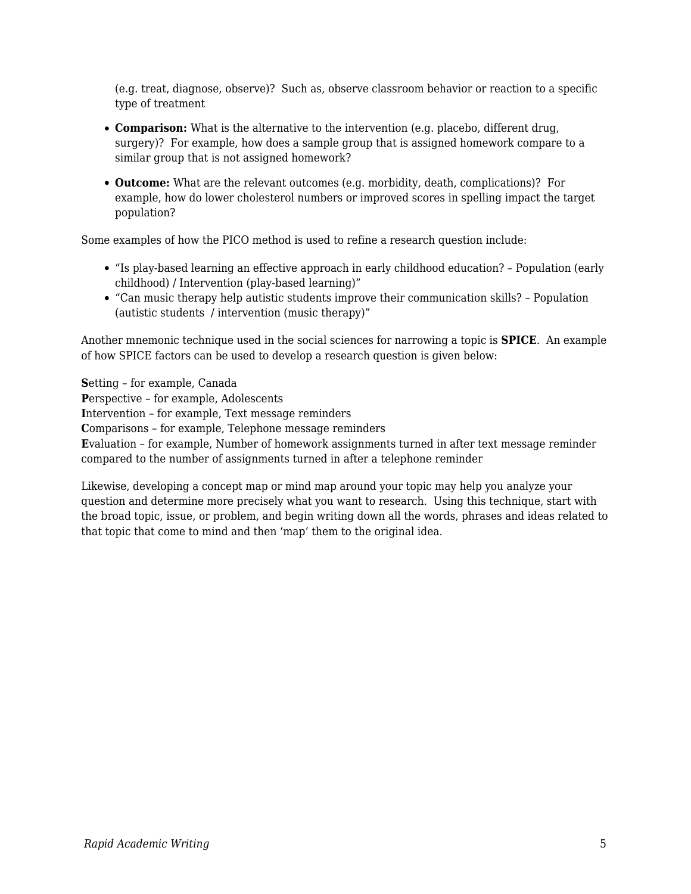(e.g. treat, diagnose, observe)? Such as, observe classroom behavior or reaction to a specific type of treatment

- **Comparison:** What is the alternative to the intervention (e.g. placebo, different drug, surgery)? For example, how does a sample group that is assigned homework compare to a similar group that is not assigned homework?
- **Outcome:** What are the relevant outcomes (e.g. morbidity, death, complications)? For example, how do lower cholesterol numbers or improved scores in spelling impact the target population?

Some examples of how the PICO method is used to refine a research question include:

- "Is play-based learning an effective approach in early childhood education? Population (early childhood) / Intervention (play-based learning)"
- "Can music therapy help autistic students improve their communication skills? Population (autistic students / intervention (music therapy)"

Another mnemonic technique used in the social sciences for narrowing a topic is **SPICE**. An example of how SPICE factors can be used to develop a research question is given below:

**S**etting – for example, Canada **P**erspective – for example, Adolescents **I**ntervention – for example, Text message reminders **C**omparisons – for example, Telephone message reminders **E**valuation – for example, Number of homework assignments turned in after text message reminder compared to the number of assignments turned in after a telephone reminder

Likewise, developing a concept map or mind map around your topic may help you analyze your question and determine more precisely what you want to research. Using this technique, start with the broad topic, issue, or problem, and begin writing down all the words, phrases and ideas related to that topic that come to mind and then 'map' them to the original idea.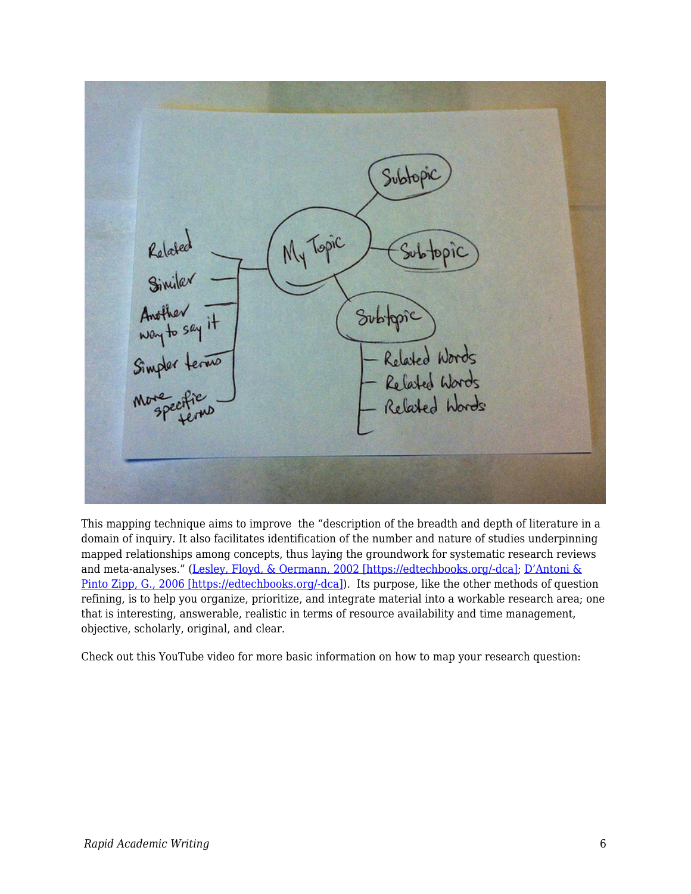

This mapping technique aims to improve the "description of the breadth and depth of literature in a domain of inquiry. It also facilitates identification of the number and nature of studies underpinning mapped relationships among concepts, thus laying the groundwork for systematic research reviews and meta-analyses." [\(Lesley, Floyd, & Oermann, 2002 \[https://edtechbooks.org/-dca\];](https://edtechbooks.org/rapidwriting/lit_rev_conclusion/#ref3) [D'Antoni &](https://edtechbooks.org/rapidwriting/lit_rev_conclusion/#ref3) [Pinto Zipp, G., 2006 \[https://edtechbooks.org/-dca\]](https://edtechbooks.org/rapidwriting/lit_rev_conclusion/#ref3)). Its purpose, like the other methods of question refining, is to help you organize, prioritize, and integrate material into a workable research area; one that is interesting, answerable, realistic in terms of resource availability and time management, objective, scholarly, original, and clear.

Check out this YouTube video for more basic information on how to map your research question: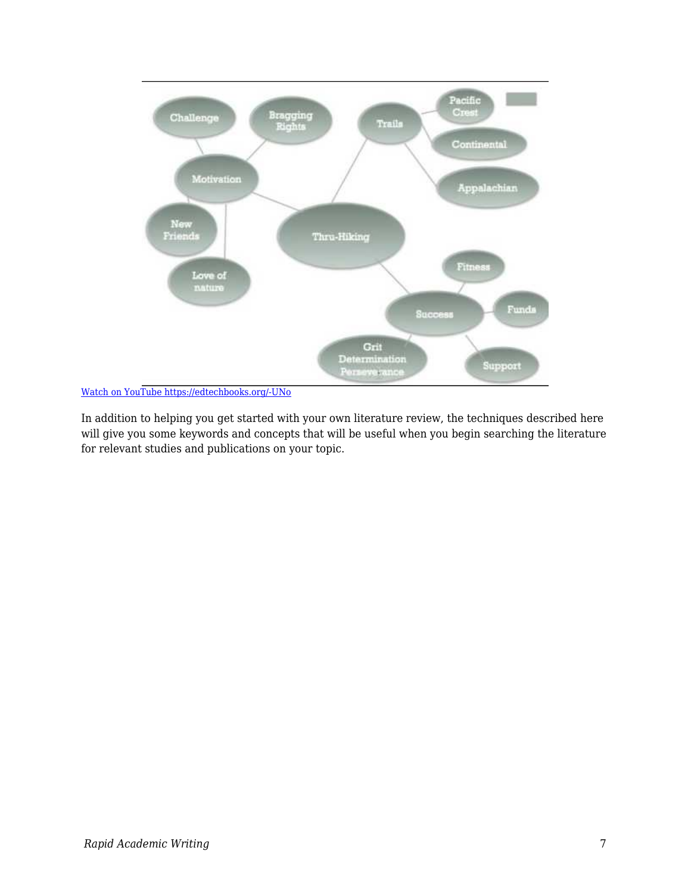

[Watch on YouTube https://edtechbooks.org/-UNo](https://www.youtube.com/embed/FgvyQjiySC8?autoplay=1&rel=0&showinfo=0&modestbranding=1)

In addition to helping you get started with your own literature review, the techniques described here will give you some keywords and concepts that will be useful when you begin searching the literature for relevant studies and publications on your topic.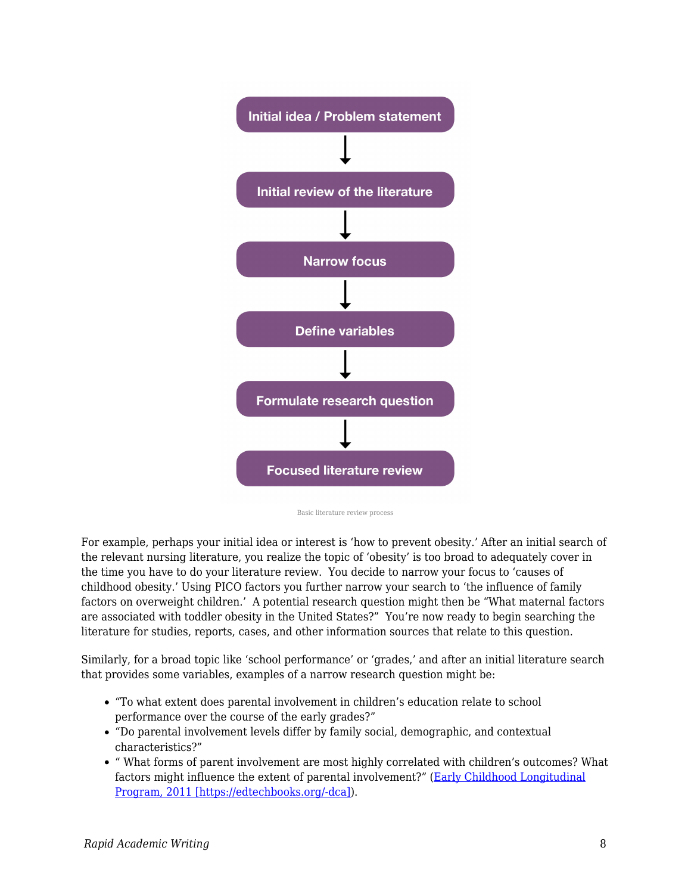

Basic literature review process

For example, perhaps your initial idea or interest is 'how to prevent obesity.' After an initial search of the relevant nursing literature, you realize the topic of 'obesity' is too broad to adequately cover in the time you have to do your literature review. You decide to narrow your focus to 'causes of childhood obesity.' Using PICO factors you further narrow your search to 'the influence of family factors on overweight children.' A potential research question might then be "What maternal factors are associated with toddler obesity in the United States?" You're now ready to begin searching the literature for studies, reports, cases, and other information sources that relate to this question.

Similarly, for a broad topic like 'school performance' or 'grades,' and after an initial literature search that provides some variables, examples of a narrow research question might be:

- "To what extent does parental involvement in children's education relate to school performance over the course of the early grades?"
- "Do parental involvement levels differ by family social, demographic, and contextual characteristics?"
- " What forms of parent involvement are most highly correlated with children's outcomes? What factors might influence the extent of parental involvement?" ([Early Childhood Longitudinal](https://edtechbooks.org/rapidwriting/lit_rev_conclusion/#ref3) [Program, 2011 \[https://edtechbooks.org/-dca\]\)](https://edtechbooks.org/rapidwriting/lit_rev_conclusion/#ref3).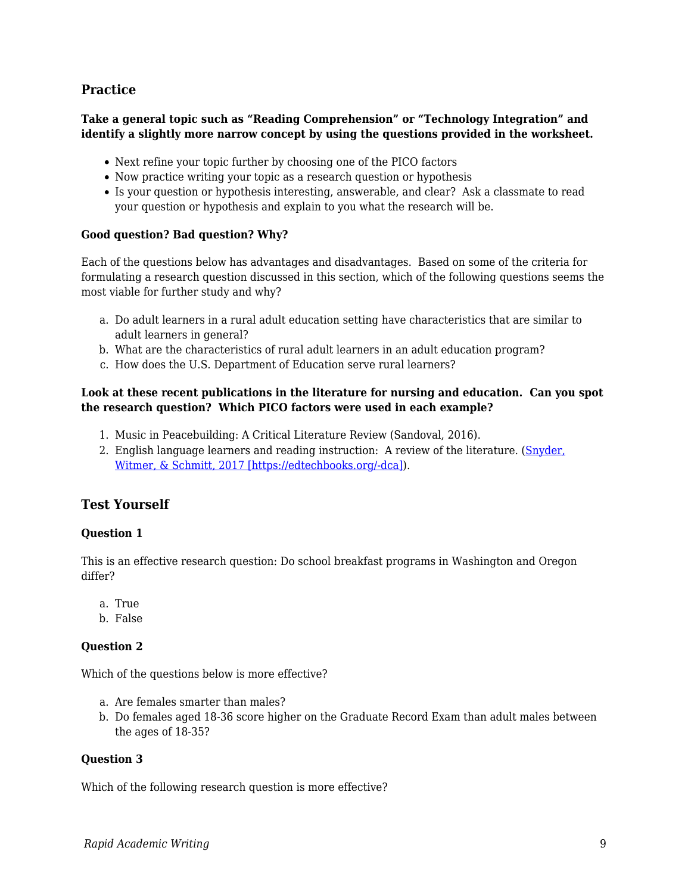### **Practice**

#### **Take a general topic such as "Reading Comprehension" or "Technology Integration" and identify a slightly more narrow concept by using the questions provided in the worksheet.**

- Next refine your topic further by choosing one of the PICO factors
- Now practice writing your topic as a research question or hypothesis
- Is your question or hypothesis interesting, answerable, and clear? Ask a classmate to read your question or hypothesis and explain to you what the research will be.

#### **Good question? Bad question? Why?**

Each of the questions below has advantages and disadvantages. Based on some of the criteria for formulating a research question discussed in this section, which of the following questions seems the most viable for further study and why?

- a. Do adult learners in a rural adult education setting have characteristics that are similar to adult learners in general?
- b. What are the characteristics of rural adult learners in an adult education program?
- c. How does the U.S. Department of Education serve rural learners?

#### **Look at these recent publications in the literature for nursing and education. Can you spot the research question? Which PICO factors were used in each example?**

- 1. Music in Peacebuilding: A Critical Literature Review (Sandoval, 2016).
- 2. English language learners and reading instruction: A review of the literature. ([Snyder,](https://edtechbooks.org/rapidwriting/lit_rev_conclusion/#ref3) [Witmer, & Schmitt, 2017 \[https://edtechbooks.org/-dca\]](https://edtechbooks.org/rapidwriting/lit_rev_conclusion/#ref3)).

### **Test Yourself**

#### **Question 1**

This is an effective research question: Do school breakfast programs in Washington and Oregon differ?

- a. True
- b. False

#### **Question 2**

Which of the questions below is more effective?

- a. Are females smarter than males?
- b. Do females aged 18-36 score higher on the Graduate Record Exam than adult males between the ages of 18-35?

#### **Question 3**

Which of the following research question is more effective?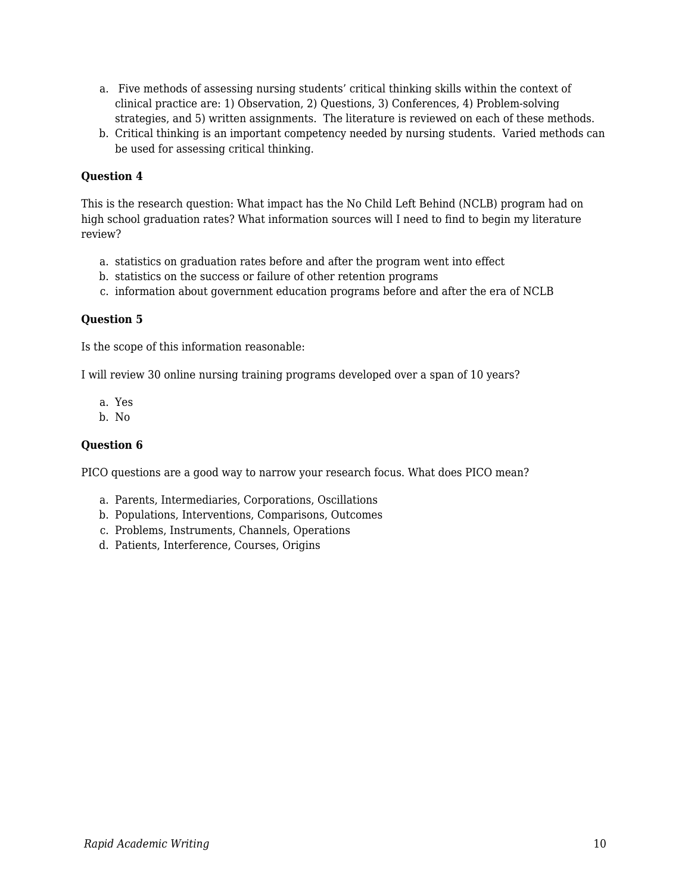- a. Five methods of assessing nursing students' critical thinking skills within the context of clinical practice are: 1) Observation, 2) Questions, 3) Conferences, 4) Problem-solving strategies, and 5) written assignments. The literature is reviewed on each of these methods.
- b. Critical thinking is an important competency needed by nursing students. Varied methods can be used for assessing critical thinking.

#### **Question 4**

This is the research question: What impact has the No Child Left Behind (NCLB) program had on high school graduation rates? What information sources will I need to find to begin my literature review?

- a. statistics on graduation rates before and after the program went into effect
- b. statistics on the success or failure of other retention programs
- c. information about government education programs before and after the era of NCLB

#### **Question 5**

Is the scope of this information reasonable:

I will review 30 online nursing training programs developed over a span of 10 years?

- a. Yes
- b. No

#### **Question 6**

PICO questions are a good way to narrow your research focus. What does PICO mean?

- a. Parents, Intermediaries, Corporations, Oscillations
- b. Populations, Interventions, Comparisons, Outcomes
- c. Problems, Instruments, Channels, Operations
- d. Patients, Interference, Courses, Origins